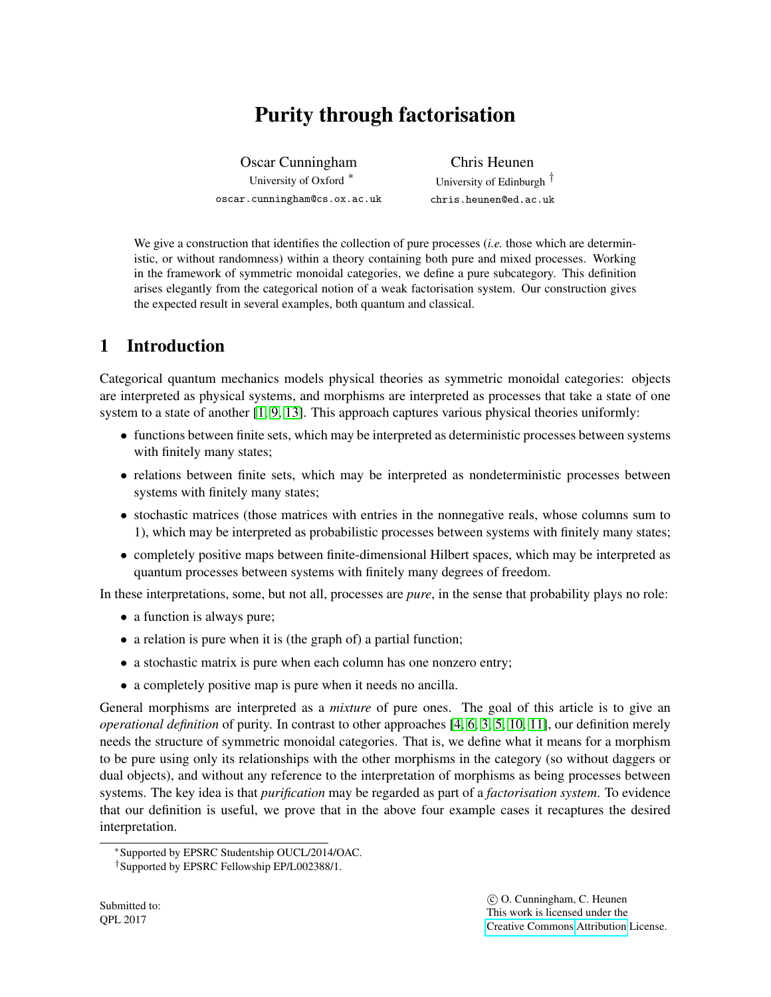# Purity through factorisation

<span id="page-0-0"></span>Oscar Cunningham University of Oxford <sup>∗</sup> oscar.cunningham@cs.ox.ac.uk

Chris Heunen University of Edinburgh † chris.heunen@ed.ac.uk

We give a construction that identifies the collection of pure processes *(<i>i.e.* those which are deterministic, or without randomness) within a theory containing both pure and mixed processes. Working in the framework of symmetric monoidal categories, we define a pure subcategory. This definition arises elegantly from the categorical notion of a weak factorisation system. Our construction gives the expected result in several examples, both quantum and classical.

## 1 Introduction

Categorical quantum mechanics models physical theories as symmetric monoidal categories: objects are interpreted as physical systems, and morphisms are interpreted as processes that take a state of one system to a state of another [\[1,](#page-11-0) [9,](#page-12-0) [13\]](#page-12-1). This approach captures various physical theories uniformly:

- functions between finite sets, which may be interpreted as deterministic processes between systems with finitely many states;
- relations between finite sets, which may be interpreted as nondeterministic processes between systems with finitely many states;
- stochastic matrices (those matrices with entries in the nonnegative reals, whose columns sum to 1), which may be interpreted as probabilistic processes between systems with finitely many states;
- completely positive maps between finite-dimensional Hilbert spaces, which may be interpreted as quantum processes between systems with finitely many degrees of freedom.

In these interpretations, some, but not all, processes are *pure*, in the sense that probability plays no role:

- a function is always pure;
- a relation is pure when it is (the graph of) a partial function;
- a stochastic matrix is pure when each column has one nonzero entry;
- a completely positive map is pure when it needs no ancilla.

General morphisms are interpreted as a *mixture* of pure ones. The goal of this article is to give an *operational definition* of purity. In contrast to other approaches [\[4,](#page-12-2) [6,](#page-12-3) [3,](#page-11-1) [5,](#page-12-4) [10,](#page-12-5) [11\]](#page-12-6), our definition merely needs the structure of symmetric monoidal categories. That is, we define what it means for a morphism to be pure using only its relationships with the other morphisms in the category (so without daggers or dual objects), and without any reference to the interpretation of morphisms as being processes between systems. The key idea is that *purification* may be regarded as part of a *factorisation system*. To evidence that our definition is useful, we prove that in the above four example cases it recaptures the desired interpretation.

<sup>∗</sup>Supported by EPSRC Studentship OUCL/2014/OAC.

<sup>†</sup>Supported by EPSRC Fellowship EP/L002388/1.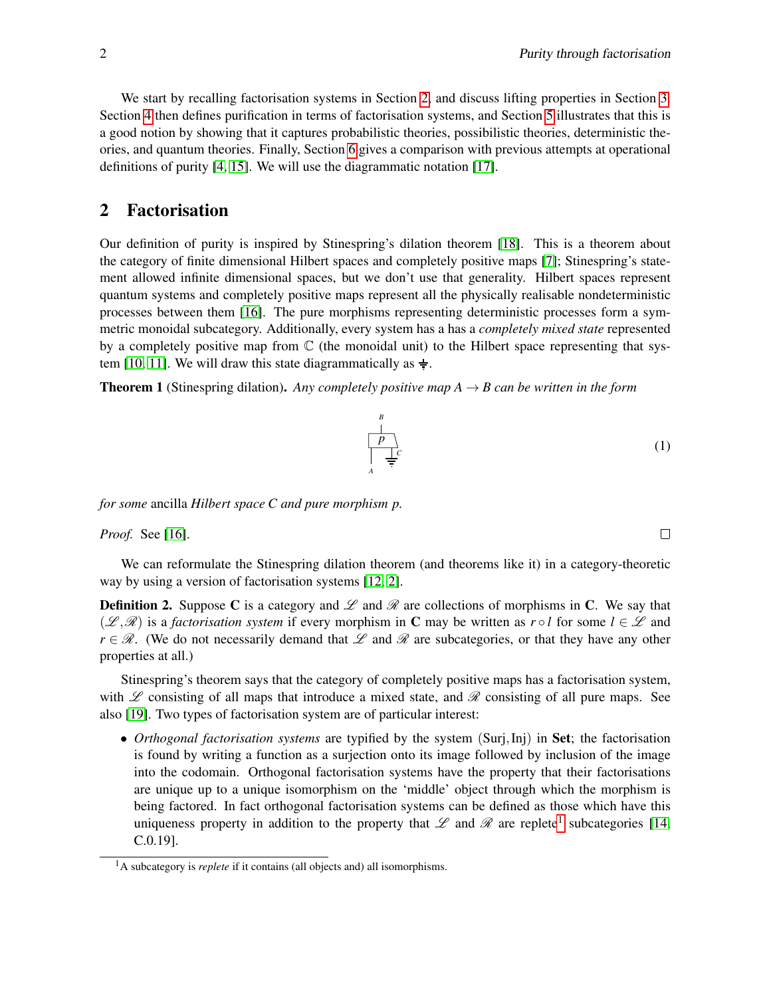We start by recalling factorisation systems in Section [2,](#page-1-0) and discuss lifting properties in Section [3.](#page-2-0) Section [4](#page-4-0) then defines purification in terms of factorisation systems, and Section [5](#page-5-0) illustrates that this is a good notion by showing that it captures probabilistic theories, possibilistic theories, deterministic theories, and quantum theories. Finally, Section [6](#page-11-2) gives a comparison with previous attempts at operational definitions of purity [\[4,](#page-12-2) [15\]](#page-12-7). We will use the diagrammatic notation [\[17\]](#page-12-8).

## <span id="page-1-0"></span>2 Factorisation

Our definition of purity is inspired by Stinespring's dilation theorem [\[18\]](#page-12-9). This is a theorem about the category of finite dimensional Hilbert spaces and completely positive maps [\[7\]](#page-12-10); Stinespring's statement allowed infinite dimensional spaces, but we don't use that generality. Hilbert spaces represent quantum systems and completely positive maps represent all the physically realisable nondeterministic processes between them [\[16\]](#page-12-11). The pure morphisms representing deterministic processes form a symmetric monoidal subcategory. Additionally, every system has a has a *completely mixed state* represented by a completely positive map from  $\mathbb C$  (the monoidal unit) to the Hilbert space representing that sys-tem [\[10,](#page-12-5) [11\]](#page-12-6). We will draw this state diagrammatically as  $\frac{1}{x}$ .

<span id="page-1-3"></span>**Theorem 1** (Stinespring dilation). *Any completely positive map A*  $\rightarrow$  *B can be written in the form* 

*p B*

*C*

*A*

*Proof.* See [\[16\]](#page-12-11).

We can reformulate the Stinespring dilation theorem (and theorems like it) in a category-theoretic way by using a version of factorisation systems [\[12,](#page-12-12) [2\]](#page-11-3).

**Definition 2.** Suppose C is a category and  $\mathscr L$  and  $\mathscr R$  are collections of morphisms in C. We say that  $(\mathscr{L}, \mathscr{R})$  is a *factorisation system* if every morphism in C may be written as  $r \circ l$  for some  $l \in \mathscr{L}$  and  $r \in \mathcal{R}$ . (We do not necessarily demand that  $\mathcal{L}$  and  $\mathcal{R}$  are subcategories, or that they have any other properties at all.)

Stinespring's theorem says that the category of completely positive maps has a factorisation system, with L consisting of all maps that introduce a mixed state, and R consisting of all pure maps. See also [\[19\]](#page-12-13). Two types of factorisation system are of particular interest:

• *Orthogonal factorisation systems* are typified by the system (Surj,Inj) in Set; the factorisation is found by writing a function as a surjection onto its image followed by inclusion of the image into the codomain. Orthogonal factorisation systems have the property that their factorisations are unique up to a unique isomorphism on the 'middle' object through which the morphism is being factored. In fact orthogonal factorisation systems can be defined as those which have this uniqueness property in addition to the property that  $\mathscr L$  and  $\mathscr R$  are replete<sup>[1](#page-1-1)</sup> subcategories [\[14,](#page-12-14) C.0.19].

*for some* ancilla *Hilbert space C and pure morphism p.*

 $\Box$ 

<span id="page-1-2"></span>(1)

<span id="page-1-1"></span><sup>&</sup>lt;sup>1</sup>A subcategory is *replete* if it contains (all objects and) all isomorphisms.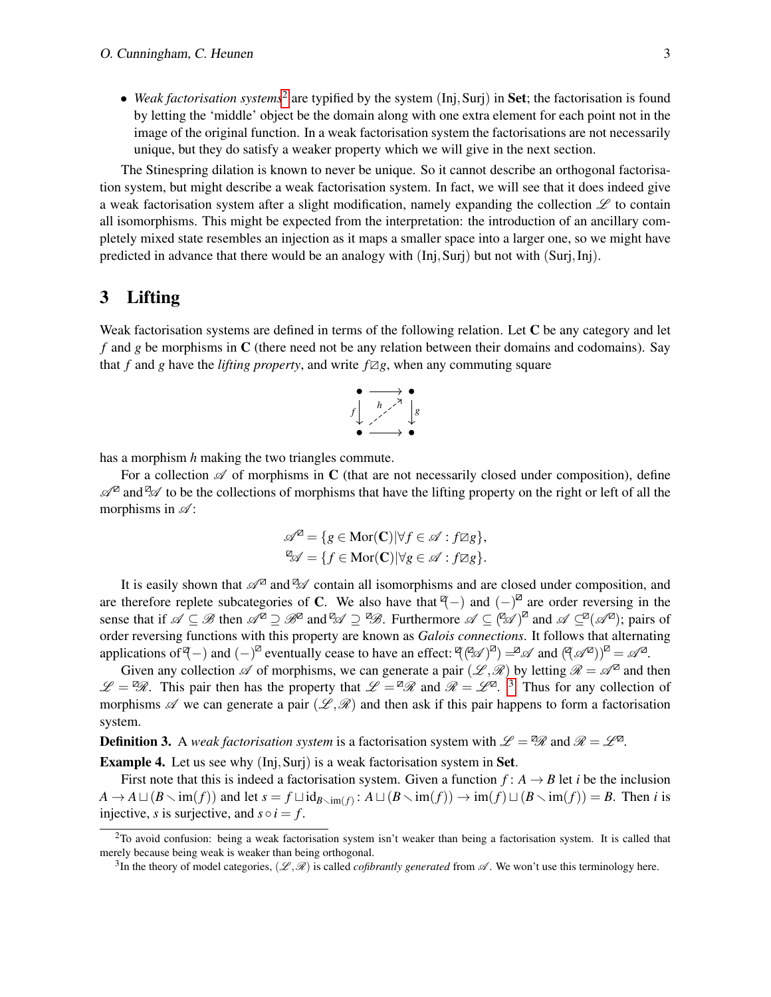• Weak factorisation systems<sup>[2](#page-2-1)</sup> are typified by the system (Inj, Surj) in Set; the factorisation is found by letting the 'middle' object be the domain along with one extra element for each point not in the image of the original function. In a weak factorisation system the factorisations are not necessarily unique, but they do satisfy a weaker property which we will give in the next section.

The Stinespring dilation is known to never be unique. So it cannot describe an orthogonal factorisation system, but might describe a weak factorisation system. In fact, we will see that it does indeed give a weak factorisation system after a slight modification, namely expanding the collection  $\mathscr L$  to contain all isomorphisms. This might be expected from the interpretation: the introduction of an ancillary completely mixed state resembles an injection as it maps a smaller space into a larger one, so we might have predicted in advance that there would be an analogy with (Inj,Surj) but not with (Surj,Inj).

## <span id="page-2-0"></span>3 Lifting

Weak factorisation systems are defined in terms of the following relation. Let  $C$  be any category and let *f* and *g* be morphisms in C (there need not be any relation between their domains and codomains). Say that *f* and *g* have the *lifting property*, and write  $f\mathbb{Z}g$ , when any commuting square



has a morphism *h* making the two triangles commute.

For a collection  $\mathscr A$  of morphisms in C (that are not necessarily closed under composition), define  $\mathscr{A}^{\mathbb{Z}}$  and  $\mathscr{A}$  to be the collections of morphisms that have the lifting property on the right or left of all the morphisms in  $\mathscr{A}$ :

$$
\mathscr{A}^{\mathbb{Z}} = \{ g \in \text{Mor}(\mathbf{C}) | \forall f \in \mathscr{A} : f \mathbb{Z}g \},
$$
  

$$
\mathbb{Z}^{\mathbb{Z}} = \{ f \in \text{Mor}(\mathbf{C}) | \forall g \in \mathscr{A} : f \mathbb{Z}g \}.
$$

It is easily shown that  $\mathscr{A}^{\mathbb{Z}}$  and  $\mathscr{A}$  contain all isomorphisms and are closed under composition, and are therefore replete subcategories of C. We also have that  $\mathcal{F}$  and  $(-)^{\mathbb{Z}}$  are order reversing in the sense that if  $\mathscr{A} \subseteq \mathscr{B}$  then  $\mathscr{A}^{\mathbb{Z}} \supseteq \mathscr{B}^{\mathbb{Z}}$  and  $\mathscr{A} \supseteq \mathscr{B}$ . Furthermore  $\mathscr{A} \subseteq (\mathscr{A})^{\mathbb{Z}}$  and  $\mathscr{A} \subseteq^{\mathbb{Z}}(\mathscr{A}^{\mathbb{Z}})$ ; pairs of order reversing functions with this property are known as *Galois connections*. It follows that alternating applications of  $(\mathcal{A} - \mathcal{A})$  and  $(-)^{\mathbb{Z}}$  eventually cease to have an effect:  $(\mathcal{A} \mathcal{A})^{\mathbb{Z}} = \mathcal{A}$  and  $(\mathcal{A} \mathcal{A}^{\mathbb{Z}})^{\mathbb{Z}} = \mathcal{A}^{\mathbb{Z}}$ .

Given any collection  $\mathscr A$  of morphisms, we can generate a pair  $(\mathscr L,\mathscr R)$  by letting  $\mathscr R=\mathscr A^{\boxtimes}$  and then  $\mathscr{L} = \mathscr{D}$ . This pair then has the property that  $\mathscr{L} = \mathscr{D}$  and  $\mathscr{R} = \mathscr{L}^{\mathbb{Z}}$ . <sup>[3](#page-2-2)</sup> Thus for any collection of morphisms  $\mathscr A$  we can generate a pair  $(\mathscr L,\mathscr R)$  and then ask if this pair happens to form a factorisation system.

**Definition 3.** A *weak factorisation system* is a factorisation system with  $\mathscr{L} = \mathscr{R}$  and  $\mathscr{R} = \mathscr{L}^{\mathbb{Z}}$ .

<span id="page-2-3"></span>Example 4. Let us see why (Inj,Surj) is a weak factorisation system in Set.

First note that this is indeed a factorisation system. Given a function  $f: A \rightarrow B$  let *i* be the inclusion  $A \to A \sqcup (B \setminus \text{im}(f))$  and let  $s = f \sqcup \text{id}_{B \setminus \text{im}(f)}$ :  $A \sqcup (B \setminus \text{im}(f)) \to \text{im}(f) \sqcup (B \setminus \text{im}(f)) = B$ . Then *i* is injective, *s* is surjective, and  $s \circ i = f$ .

<span id="page-2-1"></span> $2$ To avoid confusion: being a weak factorisation system isn't weaker than being a factorisation system. It is called that merely because being weak is weaker than being orthogonal.

<span id="page-2-2"></span><sup>&</sup>lt;sup>3</sup>In the theory of model categories,  $(\mathscr{L}, \mathscr{R})$  is called *cofibrantly generated* from  $\mathscr{A}$ . We won't use this terminology here.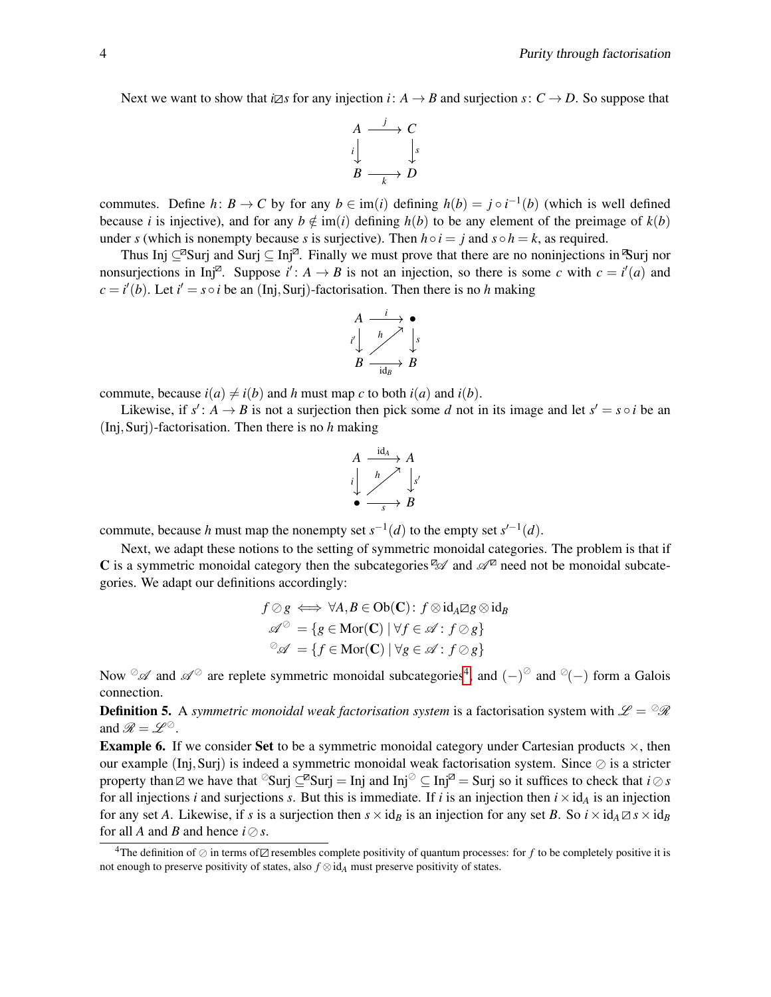Next we want to show that *i* $\boxtimes s$  for any injection *i*:  $A \rightarrow B$  and surjection *s*:  $C \rightarrow D$ . So suppose that

$$
\begin{array}{ccc}\nA & \xrightarrow{j} & C \\
i & \downarrow s \\
B & \xrightarrow{k} & D\n\end{array}
$$

commutes. Define *h*: *B* → *C* by for any  $b \in \text{im}(i)$  defining  $h(b) = j \circ i^{-1}(b)$  (which is well defined because *i* is injective), and for any  $b \notin \text{im}(i)$  defining  $h(b)$  to be any element of the preimage of  $k(b)$ under *s* (which is nonempty because *s* is surjective). Then  $h \circ i = j$  and  $s \circ h = k$ , as required.

Thus Inj ⊆<sup>2</sup>Surj and Surj ⊆ Inj<sup>2</sup>. Finally we must prove that there are no noninjections in <sup>3</sup>Surj nor nonsurjections in Inj<sup> $\mathbb{Z}$ </sup>. Suppose  $i' : A \rightarrow B$  is not an injection, so there is some *c* with  $c = i'(a)$  and  $c = i'(b)$ . Let  $i' = s \circ i$  be an (Inj, Surj)-factorisation. Then there is no *h* making



commute, because  $i(a) \neq i(b)$  and *h* must map *c* to both  $i(a)$  and  $i(b)$ .

Likewise, if  $s' : A \to B$  is not a surjection then pick some *d* not in its image and let  $s' = s \circ i$  be an (Inj,Surj)-factorisation. Then there is no *h* making

$$
A \xrightarrow{i \text{d}A} A
$$
\n
$$
i \downarrow \xrightarrow{h} S
$$
\n
$$
\bullet \xrightarrow{s} B
$$

commute, because *h* must map the nonempty set  $s^{-1}(d)$  to the empty set  $s'^{-1}(d)$ .

Next, we adapt these notions to the setting of symmetric monoidal categories. The problem is that if C is a symmetric monoidal category then the subcategories  $\mathbb{Z}$  and  $\mathscr{A}^{\mathbb{Z}}$  need not be monoidal subcategories. We adapt our definitions accordingly:

$$
f \oslash g \iff \forall A, B \in Ob(\mathbf{C}): f \otimes id_A \boxtimes g \otimes id_B
$$

$$
\mathscr{A}^{\oslash} = \{g \in Mor(\mathbf{C}) \mid \forall f \in \mathscr{A}: f \oslash g\}
$$

$$
\mathscr{A} = \{f \in Mor(\mathbf{C}) \mid \forall g \in \mathscr{A}: f \oslash g\}
$$

Now  $\mathscr A$  and  $\mathscr A^\oslash$  are replete symmetric monoidal subcategories<sup>[4](#page-3-0)</sup>, and  $(-)^\oslash$  and  $\oslash(-)$  form a Galois connection.

**Definition 5.** A *symmetric monoidal weak factorisation system* is a factorisation system with  $\mathscr{L} = \mathscr{R}$ and  $\mathscr{R} = \mathscr{L}^{\oslash}$ .

<span id="page-3-1"></span>**Example 6.** If we consider Set to be a symmetric monoidal category under Cartesian products  $\times$ , then our example (Inj, Surj) is indeed a symmetric monoidal weak factorisation system. Since  $\oslash$  is a stricter property than  $\Box$  we have that  $\Im$ Surj  $\Box$ <sup>2</sup> Surj = Inj and Inj  $\Im$   $\Box$  Inj = Surj so it suffices to check that *i* $\Diamond$ *s* for all injections *i* and surjections *s*. But this is immediate. If *i* is an injection then  $i \times id_A$  is an injection for any set *A*. Likewise, if *s* is a surjection then  $s \times id_B$  is an injection for any set *B*. So  $i \times id_A \boxtimes s \times id_B$ for all *A* and *B* and hence  $i \oslash s$ .

<span id="page-3-0"></span><sup>&</sup>lt;sup>4</sup>The definition of  $\oslash$  in terms of  $\oslash$  resembles complete positivity of quantum processes: for *f* to be completely positive it is not enough to preserve positivity of states, also *f* ⊗id*<sup>A</sup>* must preserve positivity of states.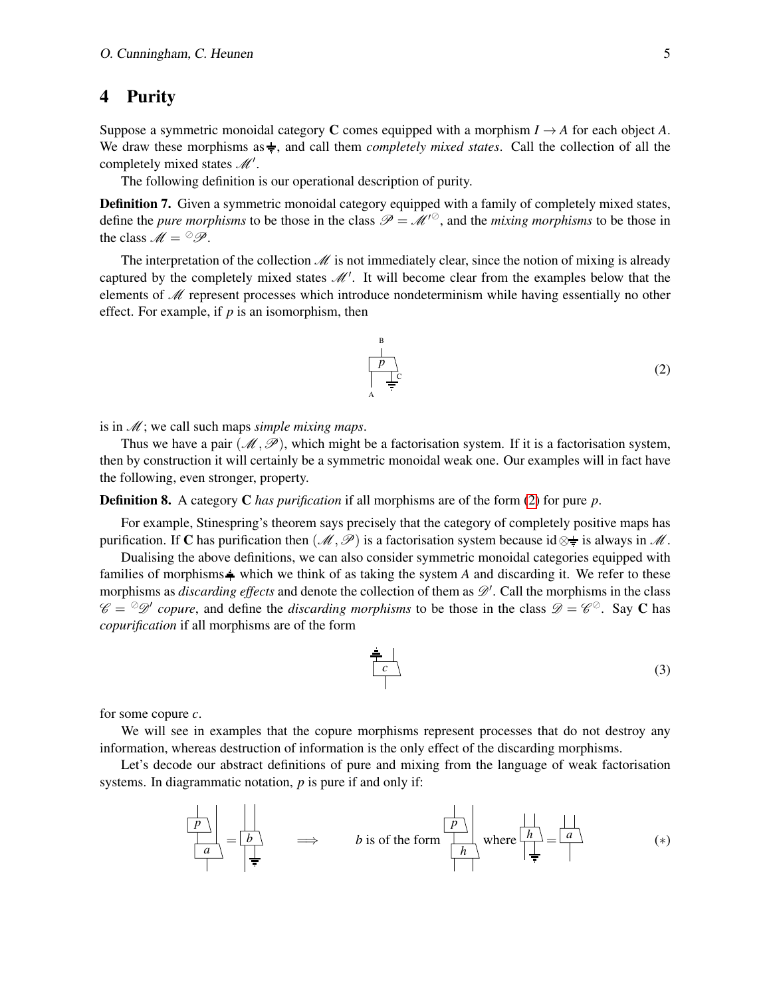## <span id="page-4-0"></span>4 Purity

Suppose a symmetric monoidal category **C** comes equipped with a morphism  $I \rightarrow A$  for each object A. We draw these morphisms as  $\frac{1}{\epsilon}$ , and call them *completely mixed states*. Call the collection of all the completely mixed states  $\mathcal{M}'$ .

The following definition is our operational description of purity.

Definition 7. Given a symmetric monoidal category equipped with a family of completely mixed states, define the *pure morphisms* to be those in the class  $\mathcal{P} = \mathcal{M}^{\prime\circ}$ , and the *mixing morphisms* to be those in the class  $M = \mathcal{P}$ .

The interpretation of the collection  $\mathcal M$  is not immediately clear, since the notion of mixing is already captured by the completely mixed states  $\mathcal{M}'$ . It will become clear from the examples below that the elements of  $\mathcal M$  represent processes which introduce nondeterminism while having essentially no other effect. For example, if *p* is an isomorphism, then

<span id="page-4-1"></span>
$$
\begin{array}{c}\n\stackrel{\text{B}}{\longrightarrow} \\
\downarrow \\
\downarrow \\
\uparrow \\
\stackrel{\text{A}}{\longleftarrow} \\
\end{array}
$$
\n(2)

is in M; we call such maps *simple mixing maps*.

Thus we have a pair  $(M, \mathcal{P})$ , which might be a factorisation system. If it is a factorisation system, then by construction it will certainly be a symmetric monoidal weak one. Our examples will in fact have the following, even stronger, property.

Definition 8. A category C *has purification* if all morphisms are of the form [\(2\)](#page-4-1) for pure *p*.

For example, Stinespring's theorem says precisely that the category of completely positive maps has purification. If C has purification then  $(\mathcal{M}, \mathcal{P})$  is a factorisation system because id  $\otimes \frac{1}{\pi}$  is always in M.

Dualising the above definitions, we can also consider symmetric monoidal categories equipped with families of morphisms  $\frac{1}{2}$  which we think of as taking the system *A* and discarding it. We refer to these morphisms as *discarding effects* and denote the collection of them as  $\mathcal{D}'$ . Call the morphisms in the class  $\mathscr{C} = \mathscr{D}$  copure, and define the *discarding morphisms* to be those in the class  $\mathscr{D} = \mathscr{C}^{\oslash}$ . Say C has *copurification* if all morphisms are of the form

$$
\begin{array}{c}\n\frac{2}{c} \\
\hline\n\end{array}
$$
\n(3)

for some copure *c*.

We will see in examples that the copure morphisms represent processes that do not destroy any information, whereas destruction of information is the only effect of the discarding morphisms.

Let's decode our abstract definitions of pure and mixing from the language of weak factorisation systems. In diagrammatic notation, *p* is pure if and only if:

*a p* = *b* =⇒ *b* is of the form *h p* where *<sup>h</sup>* = *a* (∗)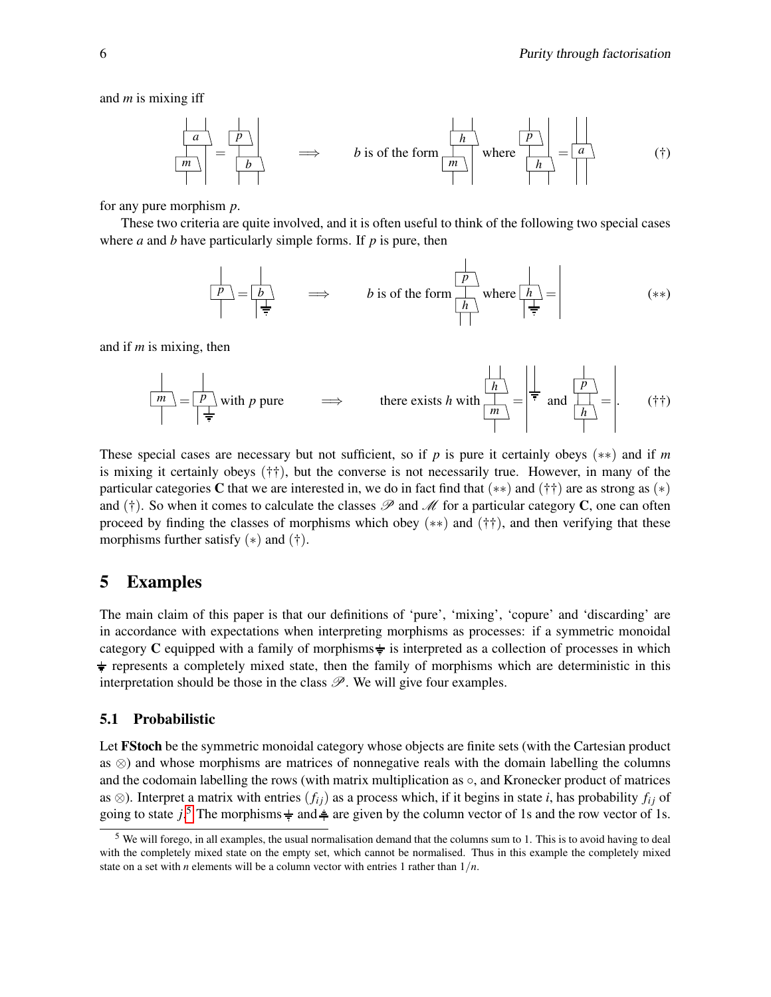and *m* is mixing iff

$$
\frac{\begin{vmatrix} a \\ n \\ m \end{vmatrix}}{\begin{vmatrix} m \\ n \end{vmatrix}} = \frac{\begin{vmatrix} b \\ b \end{vmatrix}}{\begin{vmatrix} b \\ n \end{vmatrix}} \implies b \text{ is of the form } \frac{\begin{vmatrix} b \\ n \\ m \end{vmatrix}}{\begin{vmatrix} m \\ n \end{vmatrix}} \text{ where } \frac{\begin{vmatrix} b \\ n \\ n \end{vmatrix}}{\begin{vmatrix} n \\ n \end{vmatrix}} = \frac{\begin{vmatrix} a \\ n \\ n \end{vmatrix}}{\begin{vmatrix} n \\ n \end{vmatrix}} \tag{†}
$$

for any pure morphism *p*.

These two criteria are quite involved, and it is often useful to think of the following two special cases where *a* and *b* have particularly simple forms. If *p* is pure, then

$$
\frac{p}{\left| \frac{p}{\frac{1}{r}} \right|} = \frac{b}{\left| \frac{1}{\frac{1}{r}} \right|} \implies b \text{ is of the form } \frac{p}{\left| \frac{h}{\left| \frac{1}{r} \right|}} \text{ where } \frac{h}{\left| \frac{1}{\frac{1}{r}} \right|} = \text{ (**)}
$$

and if *m* is mixing, then

$$
\frac{|m|}{|m|} = \frac{|p|}{|p|}
$$
 with *p* pure  $\implies$  there exists *h* with  $\frac{|h|}{|m|} = \frac{|\frac{|h|}{|p|}}{|m|} = \frac{|\frac{|p|}{|p|}}{(|\uparrow\uparrow\rangle)}$  († $\uparrow$ )

These special cases are necessary but not sufficient, so if *p* is pure it certainly obeys (∗∗) and if *m* is mixing it certainly obeys (††), but the converse is not necessarily true. However, in many of the particular categories C that we are interested in, we do in fact find that (∗∗) and (††) are as strong as (∗) and (†). So when it comes to calculate the classes  $\mathscr P$  and  $\mathscr M$  for a particular category C, one can often proceed by finding the classes of morphisms which obey  $(**)$  and  $(\dagger\dagger)$ , and then verifying that these morphisms further satisfy  $(*)$  and  $(†)$ .

### <span id="page-5-0"></span>5 Examples

The main claim of this paper is that our definitions of 'pure', 'mixing', 'copure' and 'discarding' are in accordance with expectations when interpreting morphisms as processes: if a symmetric monoidal category C equipped with a family of morphisms  $\frac{1}{2}$  is interpreted as a collection of processes in which  $\div$  represents a completely mixed state, then the family of morphisms which are deterministic in this interpretation should be those in the class  $\mathcal{P}$ . We will give four examples.

#### 5.1 Probabilistic

Let **FStoch** be the symmetric monoidal category whose objects are finite sets (with the Cartesian product as ⊗) and whose morphisms are matrices of nonnegative reals with the domain labelling the columns and the codomain labelling the rows (with matrix multiplication as  $\circ$ , and Kronecker product of matrices as  $\otimes$ ). Interpret a matrix with entries  $(f_{ij})$  as a process which, if it begins in state *i*, has probability  $f_{ij}$  of going to state  $j$ <sup>[5](#page-5-1)</sup>. The morphisms  $\frac{1}{r}$  and  $\frac{1}{r}$  are given by the column vector of 1s and the row vector of 1s.

<span id="page-5-1"></span> $<sup>5</sup>$  We will forego, in all examples, the usual normalisation demand that the columns sum to 1. This is to avoid having to deal</sup> with the completely mixed state on the empty set, which cannot be normalised. Thus in this example the completely mixed state on a set with *n* elements will be a column vector with entries 1 rather than  $1/n$ .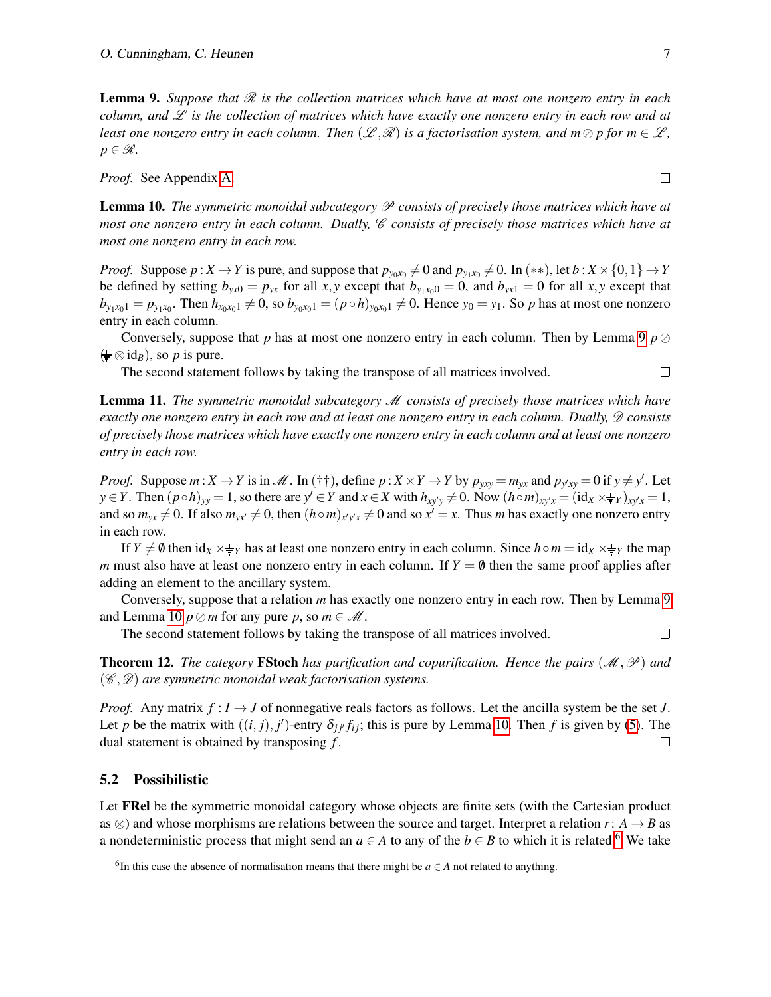<span id="page-6-0"></span>**Lemma 9.** Suppose that  $\mathcal{R}$  is the collection matrices which have at most one nonzero entry in each *column, and* L *is the collection of matrices which have exactly one nonzero entry in each row and at least one nonzero entry in each column. Then*  $(\mathscr{L}, \mathscr{R})$  *is a factorisation system, and m*  $\oslash$  *p* for *m*  $\in \mathscr{L}$ *,*  $p \in \mathscr{R}$ .

*Proof.* See Appendix [A.](#page-12-15)

<span id="page-6-1"></span>Lemma 10. *The symmetric monoidal subcategory* P *consists of precisely those matrices which have at most one nonzero entry in each column. Dually, C consists of precisely those matrices which have at most one nonzero entry in each row.*

*Proof.* Suppose  $p: X \to Y$  is pure, and suppose that  $p_{y_0x_0} \neq 0$  and  $p_{y_1x_0} \neq 0$ . In  $(**)$ , let  $b: X \times \{0,1\} \to Y$ be defined by setting  $b_{yx0} = p_{yx}$  for all *x*, *y* except that  $b_{y_1x_00} = 0$ , and  $b_{yx1} = 0$  for all *x*, *y* except that  $b_{y_1x_01} = p_{y_1x_0}$ . Then  $h_{x_0x_01} \neq 0$ , so  $b_{y_0x_01} = (p \circ h)_{y_0x_01} \neq 0$ . Hence  $y_0 = y_1$ . So p has at most one nonzero entry in each column.

Conversely, suppose that *p* has at most one nonzero entry in each column. Then by Lemma [9](#page-6-0)  $p \oslash$  $(\frac{\text{L}}{\text{F}} \otimes id_B)$ , so *p* is pure.

The second statement follows by taking the transpose of all matrices involved.

Lemma 11. *The symmetric monoidal subcategory* M *consists of precisely those matrices which have exactly one nonzero entry in each row and at least one nonzero entry in each column. Dually,*  $\mathscr D$  *consists of precisely those matrices which have exactly one nonzero entry in each column and at least one nonzero entry in each row.*

*Proof.* Suppose  $m: X \to Y$  is in M. In (††), define  $p: X \times Y \to Y$  by  $p_{yxy} = m_{yx}$  and  $p_{y'xy} = 0$  if  $y \neq y'$ . Let  $y \in Y$ . Then  $(p \circ h)_{yy} = 1$ , so there are  $y' \in Y$  and  $x \in X$  with  $h_{xy'y} \neq 0$ . Now  $(h \circ m)_{xy/x} = (\mathrm{id}_X \times \frac{1}{T}y)_{xy/x} = 1$ , and so  $m_{yx} \neq 0$ . If also  $m_{yx'} \neq 0$ , then  $(h \circ m)_{x'y'x} \neq 0$  and so  $x' = x$ . Thus *m* has exactly one nonzero entry in each row.

If *Y*  $\neq$  0 then id<sub>*X*</sub>  $\times$   $\neq$ <sub>*Y*</sub> has at least one nonzero entry in each column. Since  $h \circ m = id_x \times \neq y$  the map *m* must also have at least one nonzero entry in each column. If  $Y = \emptyset$  then the same proof applies after adding an element to the ancillary system.

Conversely, suppose that a relation *m* has exactly one nonzero entry in each row. Then by Lemma [9](#page-6-0) and Lemma [10](#page-6-1)  $p \oslash m$  for any pure p, so  $m \in \mathcal{M}$ .

The second statement follows by taking the transpose of all matrices involved.

**Theorem 12.** *The category* **FStoch** *has purification and copurification. Hence the pairs*  $(\mathcal{M}, \mathcal{P})$  *and* (C ,D) *are symmetric monoidal weak factorisation systems.*

*Proof.* Any matrix  $f : I \to J$  of nonnegative reals factors as follows. Let the ancilla system be the set *J*. Let *p* be the matrix with  $((i, j), j')$ -entry  $\delta_{j j'} f_{i j}$ ; this is pure by Lemma [10.](#page-6-1) Then *f* is given by [\(5\)](#page-12-16). The dual statement is obtained by transposing *f* .  $\Box$ 

#### 5.2 Possibilistic

Let **FRel** be the symmetric monoidal category whose objects are finite sets (with the Cartesian product as  $\otimes$ ) and whose morphisms are relations between the source and target. Interpret a relation *r*: *A* → *B* as a nondeterministic process that might send an  $a \in A$  to any of the  $b \in B$  to which it is related.<sup>[6](#page-6-2)</sup> We take

 $\Box$ 

 $\Box$ 

<span id="page-6-2"></span><sup>&</sup>lt;sup>6</sup>In this case the absence of normalisation means that there might be  $a \in A$  not related to anything.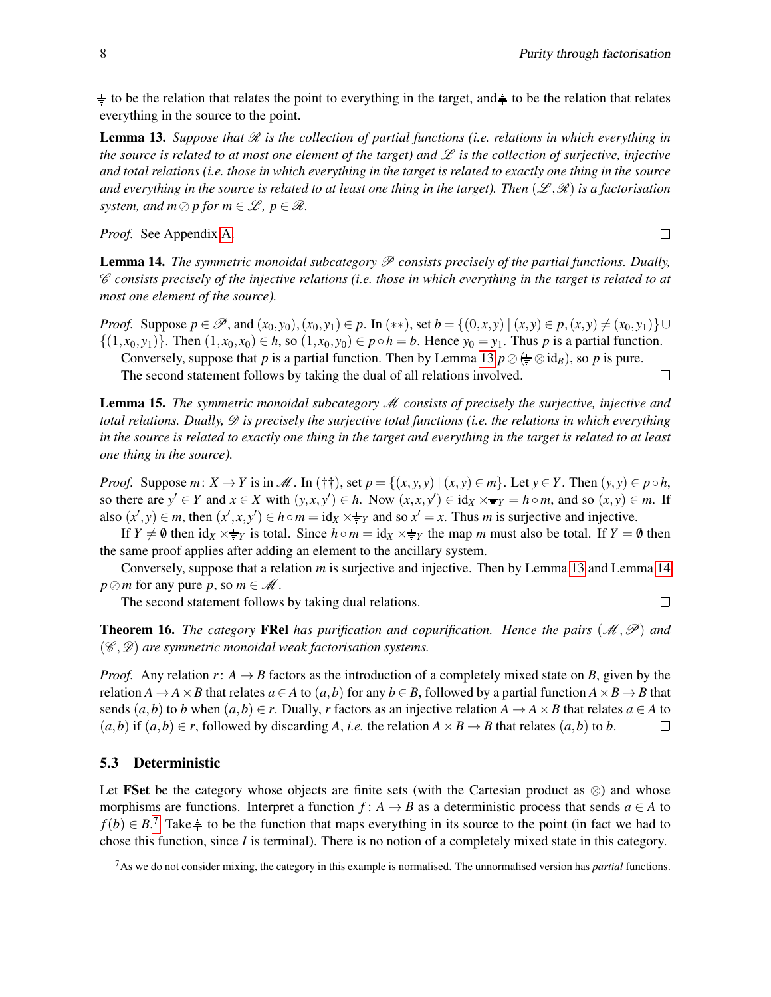$\neq$  to be the relation that relates the point to everything in the target, and  $\neq$  to be the relation that relates everything in the source to the point.

<span id="page-7-0"></span>**Lemma 13.** Suppose that  $\mathcal{R}$  is the collection of partial functions (i.e. relations in which everything in *the source is related to at most one element of the target) and*  $\mathscr L$  *is the collection of surjective, injective and total relations (i.e. those in which everything in the target is related to exactly one thing in the source* and everything in the source is related to at least one thing in the target). Then  $(\mathscr{L},\mathscr{R})$  is a factorisation *system, and m*  $\oslash$  *p* for *m*  $\in \mathcal{L}$ *, p*  $\in \mathcal{R}$ *.* 

*Proof.* See Appendix [A.](#page-12-15)

<span id="page-7-1"></span>Lemma 14. *The symmetric monoidal subcategory* P *consists precisely of the partial functions. Dually,* C *consists precisely of the injective relations (i.e. those in which everything in the target is related to at most one element of the source).*

*Proof.* Suppose  $p \in \mathcal{P}$ , and  $(x_0, y_0), (x_0, y_1) \in p$ . In  $(**)$ , set  $b = \{(0, x, y) | (x, y) \in p, (x, y) \neq (x_0, y_1)\} \cup$  $\{(1, x_0, y_1)\}\right.$  Then  $(1, x_0, x_0) \in h$ , so  $(1, x_0, y_0) \in p \circ h = b$ . Hence  $y_0 = y_1$ . Thus p is a partial function. Conversely, suppose that *p* is a partial function. Then by Lemma [13](#page-7-0)  $p \oslash \bigoplus \otimes id_B$ , so *p* is pure. The second statement follows by taking the dual of all relations involved.  $\Box$ 

Lemma 15. *The symmetric monoidal subcategory* M *consists of precisely the surjective, injective and total relations. Dually,* D *is precisely the surjective total functions (i.e. the relations in which everything in the source is related to exactly one thing in the target and everything in the target is related to at least one thing in the source).*

*Proof.* Suppose  $m: X \to Y$  is in  $\mathcal{M}$ . In (††), set  $p = \{(x, y, y) | (x, y) \in m\}$ . Let  $y \in Y$ . Then  $(y, y) \in p \circ h$ , so there are  $y' \in Y$  and  $x \in X$  with  $(y, x, y') \in h$ . Now  $(x, x, y') \in id_X \times \frac{1}{\pi}Y = h \circ m$ , and so  $(x, y) \in m$ . If also  $(x', y) \in m$ , then  $(x', x, y') \in h \circ m = id_x \times \#_Y$  and so  $x' = x$ . Thus *m* is surjective and injective.

If  $Y \neq \emptyset$  then  $\text{id}_X \times \neq Y$  is total. Since  $h \circ m = \text{id}_X \times \neq Y$  the map *m* must also be total. If  $Y = \emptyset$  then the same proof applies after adding an element to the ancillary system.

Conversely, suppose that a relation *m* is surjective and injective. Then by Lemma [13](#page-7-0) and Lemma [14](#page-7-1) *p* $\oslash$ *m* for any pure *p*, so *m*  $\in$  *M*.

The second statement follows by taking dual relations.

 $\Box$ 

**Theorem 16.** *The category* **FRel** *has purification and copurification. Hence the pairs*  $(\mathcal{M}, \mathcal{P})$  *and* (C ,D) *are symmetric monoidal weak factorisation systems.*

*Proof.* Any relation  $r: A \rightarrow B$  factors as the introduction of a completely mixed state on *B*, given by the relation  $A \rightarrow A \times B$  that relates  $a \in A$  to  $(a, b)$  for any  $b \in B$ , followed by a partial function  $A \times B \rightarrow B$  that sends  $(a, b)$  to *b* when  $(a, b) \in r$ . Dually, *r* factors as an injective relation  $A \to A \times B$  that relates  $a \in A$  to  $(a,b)$  if  $(a,b) \in r$ , followed by discarding *A*, *i.e.* the relation  $A \times B \to B$  that relates  $(a,b)$  to *b*.  $\Box$ 

#### 5.3 Deterministic

Let FSet be the category whose objects are finite sets (with the Cartesian product as  $\otimes$ ) and whose morphisms are functions. Interpret a function  $f: A \rightarrow B$  as a deterministic process that sends  $a \in A$  to *f*(*b*) ∈ *B*.<sup>[7](#page-7-2)</sup> Take  $\frac{1}{2}$  to be the function that maps everything in its source to the point (in fact we had to chose this function, since *I* is terminal). There is no notion of a completely mixed state in this category.

<span id="page-7-2"></span><sup>7</sup>As we do not consider mixing, the category in this example is normalised. The unnormalised version has *partial* functions.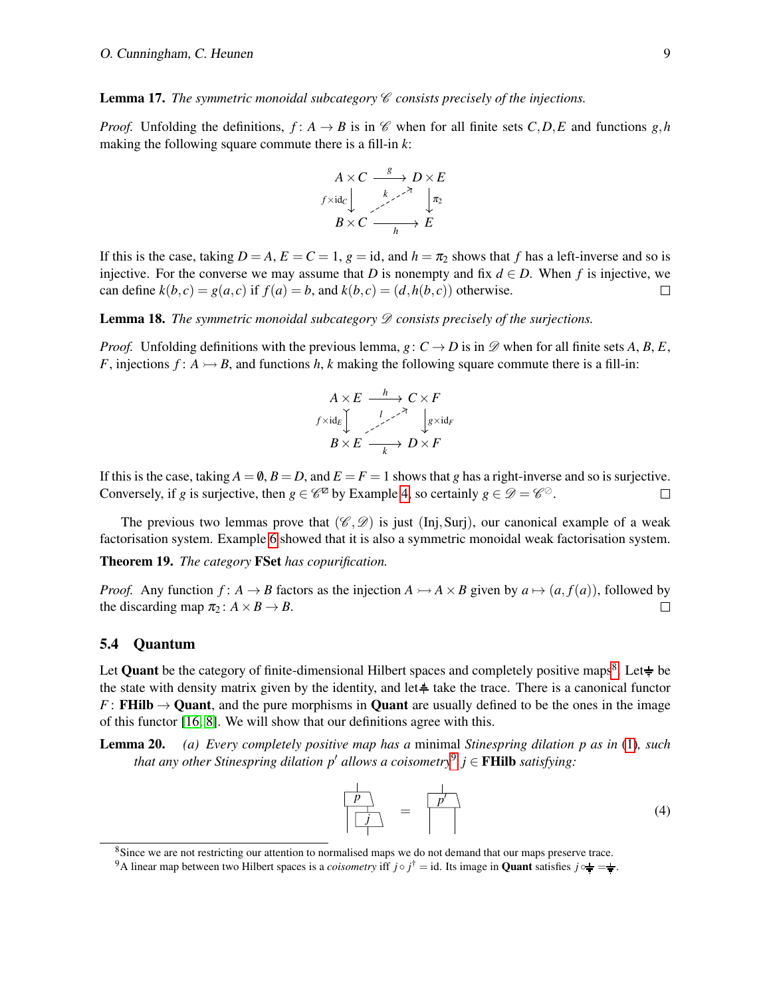Lemma 17. *The symmetric monoidal subcategory C consists precisely of the injections.* 

*Proof.* Unfolding the definitions,  $f: A \rightarrow B$  is in C when for all finite sets *C*,*D*,*E* and functions *g*,*h* making the following square commute there is a fill-in *k*:

$$
A \times C \xrightarrow{\text{g}} D \times E
$$
  
\n $f \times \text{id}_C$   
\n $B \times C \xrightarrow{\text{h}} E$ 

If this is the case, taking  $D = A$ ,  $E = C = 1$ ,  $g = id$ , and  $h = \pi_2$  shows that *f* has a left-inverse and so is injective. For the converse we may assume that *D* is nonempty and fix  $d \in D$ . When *f* is injective, we can define  $k(b, c) = g(a, c)$  if  $f(a) = b$ , and  $k(b, c) = (d, h(b, c))$  otherwise.  $\Box$ 

Lemma 18. *The symmetric monoidal subcategory*  $\mathscr D$  *consists precisely of the surjections.* 

*Proof.* Unfolding definitions with the previous lemma,  $g: C \to D$  is in  $\mathscr D$  when for all finite sets A, B, E, *F*, injections  $f: A \rightarrow B$ , and functions *h*, *k* making the following square commute there is a fill-in:

$$
A \times E \xrightarrow{l} C \times F
$$
  
\n
$$
f \times id_E \downarrow \qquad \downarrow g \times id_F
$$
  
\n
$$
B \times E \xrightarrow{l} D \times F
$$

If this is the case, taking  $A = \emptyset$ ,  $B = D$ , and  $E = F = 1$  shows that *g* has a right-inverse and so is surjective. Conversely, if *g* is surjective, then  $g \in \mathscr{C}^{\mathbb{Z}}$  by Example [4,](#page-2-3) so certainly  $g \in \mathscr{D} = \mathscr{C}^{\mathbb{Q}}$ .  $\Box$ 

The previous two lemmas prove that  $(\mathscr{C}, \mathscr{D})$  is just (Inj, Surj), our canonical example of a weak factorisation system. Example [6](#page-3-1) showed that it is also a symmetric monoidal weak factorisation system.

Theorem 19. *The category* FSet *has copurification.*

*Proof.* Any function  $f: A \to B$  factors as the injection  $A \to A \times B$  given by  $a \mapsto (a, f(a))$ , followed by the discarding map  $\pi_2$ :  $A \times B \rightarrow B$ .  $\Box$ 

#### 5.4 Quantum

Let **Quant** be the category of finite-dimensional Hilbert spaces and completely positive maps<sup>[8](#page-8-0)</sup>. Let $\neq$  be the state with density matrix given by the identity, and let $\triangleq$  take the trace. There is a canonical functor *F* : **FHilb**  $\rightarrow$  Quant, and the pure morphisms in Quant are usually defined to be the ones in the image of this functor [\[16,](#page-12-11) [8\]](#page-12-17). We will show that our definitions agree with this.

<span id="page-8-3"></span>Lemma 20. *(a) Every completely positive map has a* minimal *Stinespring dilation p as in* [\(1\)](#page-1-2)*, such that any other Stinespring dilation p*<sup>0</sup> *allows a coisometry*[9](#page-8-1) *j* ∈ FHilb *satisfying:*

<span id="page-8-2"></span>
$$
\frac{\frac{1}{p}}{\left|\frac{j}{p}\right|} = \frac{\frac{1}{p'}}{\left|\frac{j}{p}\right|} \tag{4}
$$

<span id="page-8-0"></span><sup>&</sup>lt;sup>8</sup>Since we are not restricting our attention to normalised maps we do not demand that our maps preserve trace.

<span id="page-8-1"></span><sup>&</sup>lt;sup>9</sup>A linear map between two Hilbert spaces is a *coisometry* iff  $j \circ j^{\dagger} = \text{id}$ . Its image in **Quant** satisfies  $j \circ \frac{1}{\epsilon} = \frac{1}{\epsilon}$ .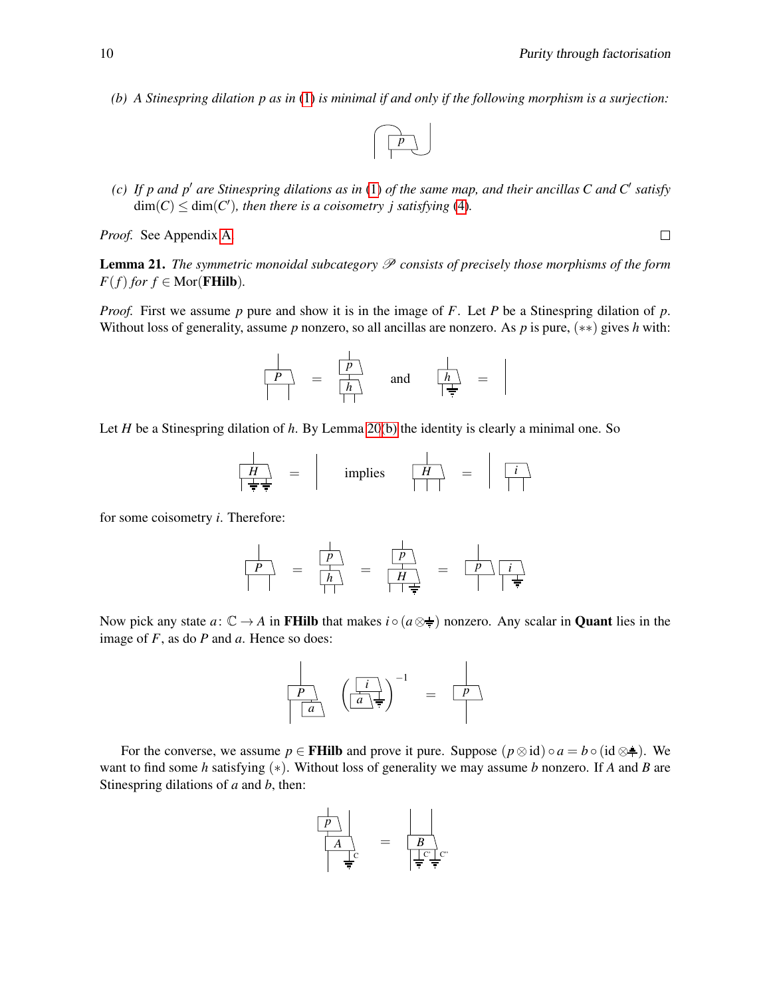<span id="page-9-0"></span>*(b) A Stinespring dilation p as in* [\(1\)](#page-1-2) *is minimal if and only if the following morphism is a surjection:*



<span id="page-9-1"></span>*(c)* If p and p' are Stinespring dilations as in [\(1\)](#page-1-2) of the same map, and their ancillas C and C' satisfy  $\dim(C) \leq \dim(C')$ , then there is a coisometry j satisfying [\(4\)](#page-8-2).

*Proof.* See Appendix [A.](#page-12-15)

<span id="page-9-2"></span>Lemma 21. *The symmetric monoidal subcategory* P *consists of precisely those morphisms of the form*  $F(f)$  *for*  $f \in \text{Mor}(\textbf{FHilb}).$ 

*Proof.* First we assume *p* pure and show it is in the image of *F*. Let *P* be a Stinespring dilation of *p*. Without loss of generality, assume *p* nonzero, so all ancillas are nonzero. As *p* is pure, (∗∗) gives *h* with:

$$
\begin{array}{|c|c|c|c|}\n\hline\nP & = & \frac{\hline\n\end{array}\n\qquad \qquad \text{and} \qquad \begin{array}{|c|c|c|}\n\hline\nh \\
\hline\n\frac{\hline\nh}{\hline\n\end{array}\n\qquad =
$$

Let *H* be a Stinespring dilation of *h*. By Lemma [20](#page-0-0)[\(b\)](#page-9-0) the identity is clearly a minimal one. So

$$
\begin{array}{|c|c|c|c|c|c|c|} \hline \begin{array}{|c|c|c|c|} \hline \begin{array}{|c|c|} \hline \begin{array}{|c|c|} \hline \begin{array}{|c|c|} \hline \begin{array}{|c|c|} \hline \begin{array}{|c|c|} \hline \begin{array}{|c|c|} \hline \begin{array}{|c|c|} \hline \begin{array}{|c|c|} \hline \begin{array}{|c|c|} \hline \begin{array}{|c|c|} \hline \begin{array}{|c|c|} \hline \begin{array}{|c|c|} \hline \begin{array}{|c|c|} \hline \begin{array}{|c|c|} \hline \begin{array}{|c|c|} \hline \begin{array}{|c|c|} \hline \begin{array}{|c|c|} \hline \begin{array}{|c|c|} \hline \begin{array}{|c|c|} \hline \begin{array}{|c|c|} \hline \begin{array}{|c|c|} \hline \begin{array}{|c|c|} \hline \begin{array}{|c|c|} \hline \begin{array}{|c|c|} \hline \begin{array}{|c|c|} \hline \begin{array}{|c|c|} \hline \begin{array}{|c|c|} \hline \begin{array}{|c|c|} \hline \begin{array}{|c|c|} \hline \begin{array}{|c|c|} \hline \begin{array}{|c|c|} \hline \begin{array}{|c|c|} \hline \begin{array}{|c|c|} \hline \begin{array}{|c|c|} \hline \begin{array}{|c|c|} \hline \begin{array}{|c|c|} \hline \begin{array}{|c|c|} \hline \begin{array}{|c|c|} \hline \begin{array}{|c|c|} \hline \begin{array}{|c|c|} \hline \begin{array}{|c|c|} \hline \begin{array}{|c|c|} \hline \begin{array}{|c|c|} \hline \begin{array}{|c|c|} \hline \begin{array}{|c|c|} \hline \begin{array}{|c|c|} \hline \begin{array}{|c|c|} \hline \begin{array}{|c|c|} \hline \begin{array}{|c|c|} \hline \begin{array}{|c|c|} \hline \begin{array}{|c|c|} \hline \begin{array
$$

for some coisometry *i*. Therefore:

*P* = *h p* <sup>=</sup> *<sup>H</sup> p* = *p i*

Now pick any state  $a: \mathbb{C} \to A$  in FHilb that makes  $i \circ (a \otimes \frac{1}{\epsilon})$  nonzero. Any scalar in **Quant** lies in the image of *F*, as do *P* and *a*. Hence so does:



For the converse, we assume  $p \in \textbf{FHilb}$  and prove it pure. Suppose  $(p \otimes id) \circ a = b \circ (id \otimes \frac{1}{r})$ . We want to find some *h* satisfying (∗). Without loss of generality we may assume *b* nonzero. If *A* and *B* are Stinespring dilations of *a* and *b*, then:

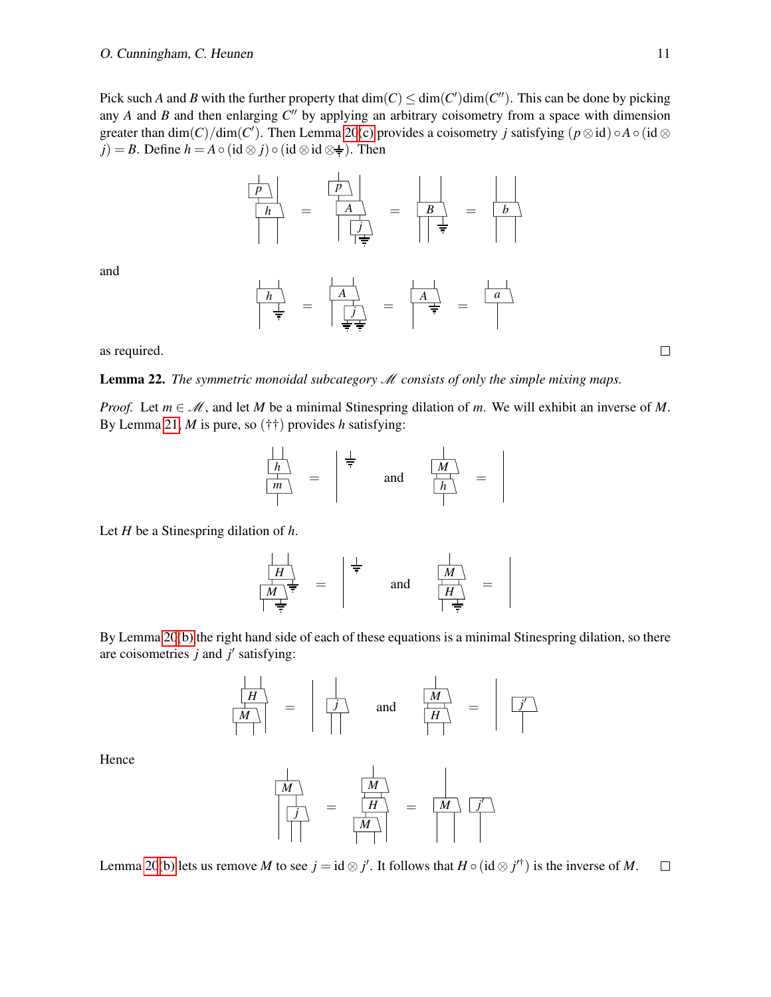Pick such *A* and *B* with the further property that  $dim(C) \le dim(C')dim(C'')$ . This can be done by picking any  $A$  and  $B$  and then enlarging  $C''$  by applying an arbitrary coisometry from a space with dimension greater than  $dim(C)/dim(C')$ . Then Lemma [20](#page-0-0)[\(c\)](#page-9-1) provides a coisometry *j* satisfying  $(p \otimes id) \circ A \circ (id \otimes$ *j*) = *B*. Define  $h = A \circ (\text{id} \otimes j) \circ (\text{id} \otimes \text{id} \otimes \neq)$ . Then

*h p* = *A j p* = *B* = *b*

and

$$
\frac{\begin{array}{|c|c|c|c|c|}\hline h\\ \hline \frac{1}{\frac{1}{2}} & = & \begin{array}{|c|c|c|}\hline A\\ \hline \frac{1}{\frac{1}{2}} & = & \begin{array}{|c|c|}\hline A\\ \hline \frac{1}{\frac{1}{2}} & = & \end{array}\hline \end{array} \begin{array}{|c|c|c|}\hline A\\ \hline \frac{1}{\frac{1}{2}} & = & \begin{array}{|c|c|}\hline A\\ \hline \frac{1}{\frac{1}{2}} & = & \end{array}\hline \end{array}
$$

as required.

Lemma 22. *The symmetric monoidal subcategory* M *consists of only the simple mixing maps.*

*Proof.* Let  $m \in \mathcal{M}$ , and let *M* be a minimal Stinespring dilation of *m*. We will exhibit an inverse of *M*. By Lemma [21,](#page-9-2) *M* is pure, so (††) provides *h* satisfying:

$$
\frac{\frac{1}{h}}{\frac{1}{h}} = \begin{vmatrix} \frac{1}{\pi} & \frac{1}{h} \\ \frac{1}{h} & \frac{1}{h} \end{vmatrix} =
$$

Let *H* be a Stinespring dilation of *h*.

$$
\begin{array}{|c|c|c|c|}\n\hline\n\hline\nM & \rightleftharpoons & \\\hline\n\hline\nM & \rightleftharpoons & \\\hline\n\vdots & \\\hline\n\end{array} \hspace{.2cm} \begin{array}{|c|c|c|}\n\hline\n\frac{1}{\mp} & \\\hline\n\end{array} \hspace{.2cm} \begin{array}{|c|c|}\n\hline\n\downarrow & \\\hline\n\hline\nM & \\\hline\n\end{array} \hspace{.2cm} \begin{array}{|c|c|}\n\hline\n\downarrow & \\\hline\n\end{array} \hspace{.2cm} \begin{array}{|c|c|}\n\hline\n\downarrow & \\\hline\n\end{array} \hspace{.2cm} \begin{array}{|c|c|}\n\hline\n\downarrow & \\\hline\n\end{array} \hspace{.2cm} \begin{array}{|c|c|}\n\hline\n\downarrow & \\\hline\n\end{array} \hspace{.2cm} \begin{array}{|c|c|}\n\hline\n\downarrow & \\\hline\n\end{array} \hspace{.2cm} \begin{array}{|c|c|}\n\hline\n\downarrow & \\\hline\n\end{array} \hspace{.2cm} \begin{array}{|c|c|c|}\n\hline\n\downarrow & \\\hline\n\end{array} \hspace{.2cm} \begin{array}{|c|c|c|}\n\hline\n\downarrow & \\\hline\n\end{array} \hspace{.2cm} \begin{array}{|c|c|c|}\n\hline\n\downarrow & \\\hline\n\end{array} \hspace{.2cm} \begin{array}{|c|c|c|}\n\hline\n\downarrow & \\\hline\n\end{array} \hspace{.2cm} \begin{array}{|c|c|c|}\n\hline\n\downarrow & \\\hline\n\end{array} \hspace{.2cm} \begin{array}{|c|c|c|}\n\hline\n\downarrow & \\\hline\n\end{array} \hspace{.2cm} \begin{array}{|c|c|c|c|}\n\hline\n\downarrow & \\\hline\n\end{array} \hspace{.2cm} \begin{array}{|c|c|c|c|}\n\hline\n\downarrow & \\\hline\n\end{array} \hspace{.2cm} \begin{array}{|c|c|c|}\n\hline\n\downarrow & \\\hline\n\end{array} \hspace{
$$

By Lemma [20](#page-0-0)[\(b\)](#page-9-0) the right hand side of each of these equations is a minimal Stinespring dilation, so there are coisometries  $j$  and  $j'$  satisfying:

$$
\frac{\boxed{H}}{\boxed{M}} = \boxed{\frac{J}{\boxed{J}}} \quad \text{and} \quad \frac{\boxed{M}}{\boxed{H}} = \boxed{\frac{J'}{\boxed{J}}}
$$

Hence

$$
\begin{array}{|c|c|c|c|}\n\hline\nM & & & \\
\hline\n\hline\n\end{array} \quad =\quad\n\begin{array}{|c|c|}\n\hline\nM & & \\
\hline\nH & & \\
\hline\nM & & \\
\hline\n\end{array} \quad =\quad\n\begin{array}{|c|c|}\n\hline\nM & & \\
\hline\nM & & \\
\hline\n\end{array}
$$

Lemma [20](#page-0-0)[\(b\)](#page-9-0) lets us remove *M* to see  $j = id \otimes j'$ . It follows that  $H \circ (id \otimes j'^\dagger)$  is the inverse of *M*.  $\Box$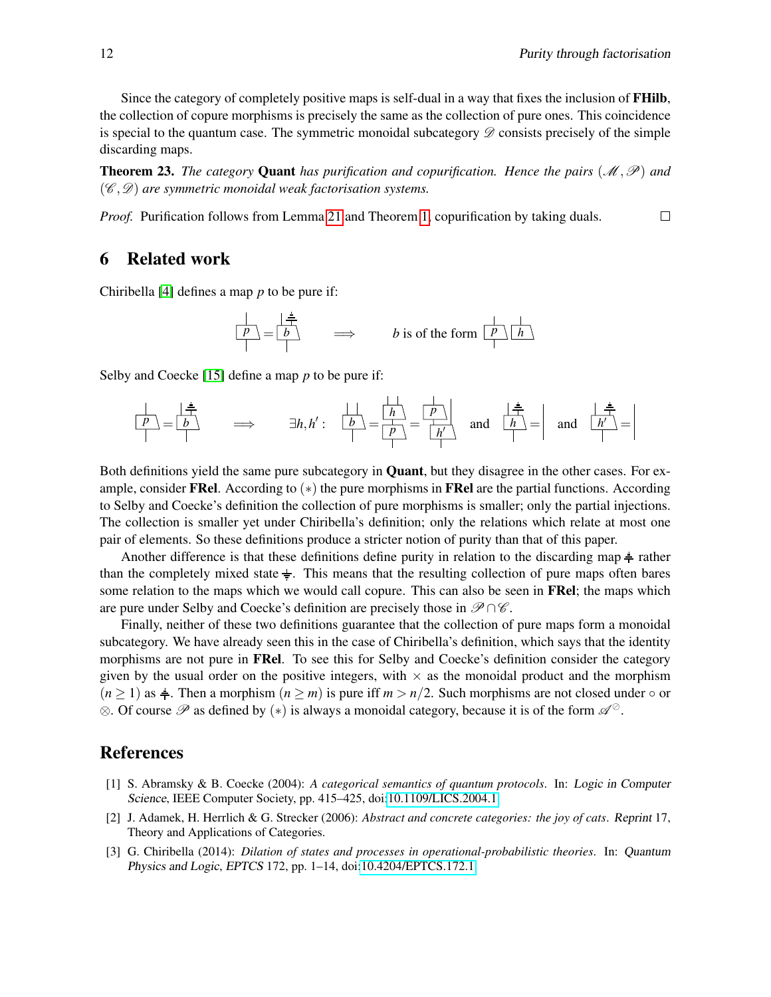$\Box$ 

Since the category of completely positive maps is self-dual in a way that fixes the inclusion of FHilb, the collection of copure morphisms is precisely the same as the collection of pure ones. This coincidence is special to the quantum case. The symmetric monoidal subcategory  $\mathscr D$  consists precisely of the simple discarding maps.

**Theorem 23.** *The category* **Quant** *has purification and copurification. Hence the pairs*  $(\mathcal{M}, \mathcal{P})$  *and* (C ,D) *are symmetric monoidal weak factorisation systems.*

*Proof.* Purification follows from Lemma [21](#page-9-2) and Theorem [1,](#page-1-3) copurification by taking duals.

## <span id="page-11-2"></span>6 Related work

Chiribella [\[4\]](#page-12-2) defines a map *p* to be pure if:

$$
\frac{p}{p} = \frac{1}{p}
$$
  $\Rightarrow$  *b* is of the form  $\frac{p}{p} \cdot \frac{1}{h}$ 

Selby and Coecke [\[15\]](#page-12-7) define a map *p* to be pure if:

*p h p* = *b* =⇒ ∃*h*,*h* 0 <sup>0</sup> = : *b* = *<sup>p</sup>* = and *h* = and *h* 0 *h*

Both definitions yield the same pure subcategory in **Quant**, but they disagree in the other cases. For example, consider FRel. According to  $(*)$  the pure morphisms in FRel are the partial functions. According to Selby and Coecke's definition the collection of pure morphisms is smaller; only the partial injections. The collection is smaller yet under Chiribella's definition; only the relations which relate at most one pair of elements. So these definitions produce a stricter notion of purity than that of this paper.

Another difference is that these definitions define purity in relation to the discarding map  $\frac{1}{\tau}$  rather than the completely mixed state  $\frac{1}{x}$ . This means that the resulting collection of pure maps often bares some relation to the maps which we would call copure. This can also be seen in **FRel**; the maps which are pure under Selby and Coecke's definition are precisely those in  $\mathscr{P} \cap \mathscr{C}$ .

Finally, neither of these two definitions guarantee that the collection of pure maps form a monoidal subcategory. We have already seen this in the case of Chiribella's definition, which says that the identity morphisms are not pure in **FRel**. To see this for Selby and Coecke's definition consider the category given by the usual order on the positive integers, with  $\times$  as the monoidal product and the morphism  $(n \geq 1)$  as  $\frac{1}{n}$ . Then a morphism  $(n \geq m)$  is pure iff  $m > n/2$ . Such morphisms are not closed under  $\circ$  or  $\otimes$ . Of course  $\mathscr P$  as defined by  $(*)$  is always a monoidal category, because it is of the form  $\mathscr A^{\circ}$ .

## References

- <span id="page-11-0"></span>[1] S. Abramsky & B. Coecke (2004): *A categorical semantics of quantum protocols*. In: Logic in Computer Science, IEEE Computer Society, pp. 415–425, doi[:10.1109/LICS.2004.1.](http://dx.doi.org/10.1109/LICS.2004.1)
- <span id="page-11-3"></span>[2] J. Adamek, H. Herrlich & G. Strecker (2006): *Abstract and concrete categories: the joy of cats*. Reprint 17, Theory and Applications of Categories.
- <span id="page-11-1"></span>[3] G. Chiribella (2014): *Dilation of states and processes in operational-probabilistic theories*. In: Quantum Physics and Logic, EPTCS 172, pp. 1–14, doi[:10.4204/EPTCS.172.1.](http://dx.doi.org/10.4204/EPTCS.172.1)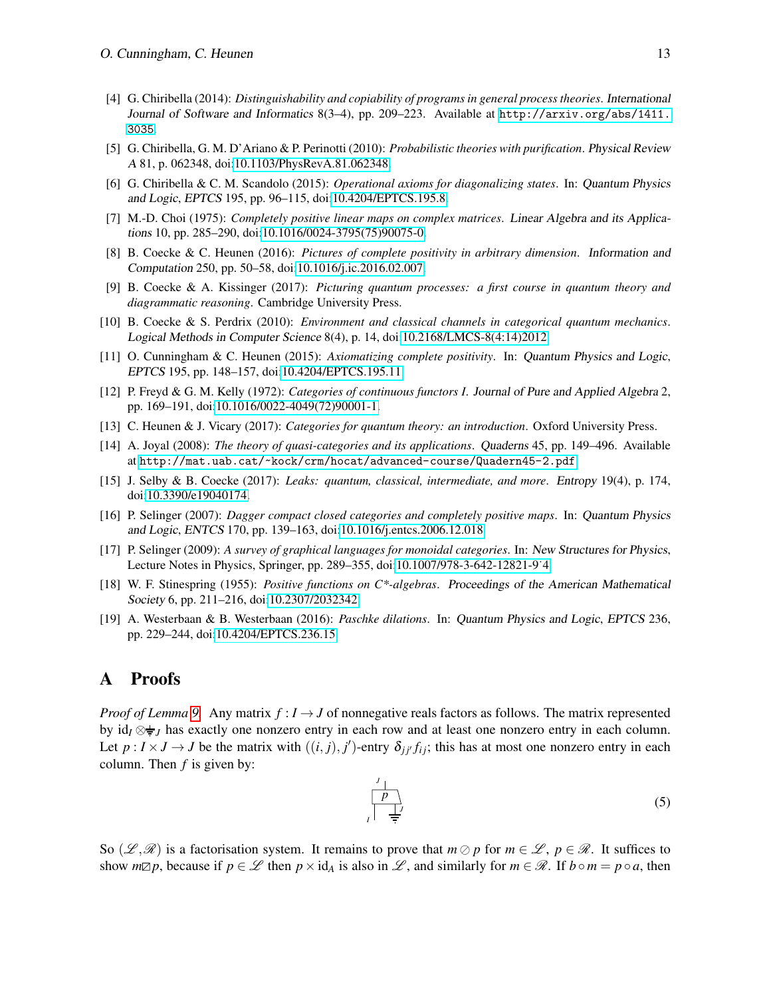- <span id="page-12-2"></span>[4] G. Chiribella (2014): *Distinguishability and copiability of programs in general process theories*. International Journal of Software and Informatics 8(3–4), pp. 209–223. Available at [http://arxiv.org/abs/1411.](http://arxiv.org/abs/1411.3035) [3035](http://arxiv.org/abs/1411.3035).
- <span id="page-12-4"></span>[5] G. Chiribella, G. M. D'Ariano & P. Perinotti (2010): *Probabilistic theories with purification*. Physical Review A 81, p. 062348, doi[:10.1103/PhysRevA.81.062348.](http://dx.doi.org/10.1103/PhysRevA.81.062348)
- <span id="page-12-3"></span>[6] G. Chiribella & C. M. Scandolo (2015): *Operational axioms for diagonalizing states*. In: Quantum Physics and Logic, EPTCS 195, pp. 96–115, doi[:10.4204/EPTCS.195.8.](http://dx.doi.org/10.4204/EPTCS.195.8)
- <span id="page-12-10"></span>[7] M.-D. Choi (1975): *Completely positive linear maps on complex matrices*. Linear Algebra and its Applications 10, pp. 285–290, doi[:10.1016/0024-3795\(75\)90075-0.](http://dx.doi.org/10.1016/0024-3795(75)90075-0)
- <span id="page-12-17"></span>[8] B. Coecke & C. Heunen (2016): *Pictures of complete positivity in arbitrary dimension*. Information and Computation 250, pp. 50–58, doi[:10.1016/j.ic.2016.02.007.](http://dx.doi.org/10.1016/j.ic.2016.02.007)
- <span id="page-12-0"></span>[9] B. Coecke & A. Kissinger (2017): *Picturing quantum processes: a first course in quantum theory and diagrammatic reasoning*. Cambridge University Press.
- <span id="page-12-5"></span>[10] B. Coecke & S. Perdrix (2010): *Environment and classical channels in categorical quantum mechanics*. Logical Methods in Computer Science 8(4), p. 14, doi[:10.2168/LMCS-8\(4:14\)2012.](http://dx.doi.org/10.2168/LMCS-8(4:14)2012)
- <span id="page-12-6"></span>[11] O. Cunningham & C. Heunen (2015): *Axiomatizing complete positivity*. In: Quantum Physics and Logic, EPTCS 195, pp. 148–157, doi[:10.4204/EPTCS.195.11.](http://dx.doi.org/10.4204/EPTCS.195.11)
- <span id="page-12-12"></span>[12] P. Freyd & G. M. Kelly (1972): *Categories of continuous functors I*. Journal of Pure and Applied Algebra 2, pp. 169–191, doi[:10.1016/0022-4049\(72\)90001-1.](http://dx.doi.org/10.1016/0022-4049(72)90001-1)
- <span id="page-12-1"></span>[13] C. Heunen & J. Vicary (2017): *Categories for quantum theory: an introduction*. Oxford University Press.
- <span id="page-12-14"></span>[14] A. Joyal (2008): *The theory of quasi-categories and its applications*. Quaderns 45, pp. 149–496. Available at <http://mat.uab.cat/~kock/crm/hocat/advanced-course/Quadern45-2.pdf>.
- <span id="page-12-7"></span>[15] J. Selby & B. Coecke (2017): *Leaks: quantum, classical, intermediate, and more*. Entropy 19(4), p. 174, doi[:10.3390/e19040174.](http://dx.doi.org/10.3390/e19040174)
- <span id="page-12-11"></span>[16] P. Selinger (2007): *Dagger compact closed categories and completely positive maps*. In: Quantum Physics and Logic, ENTCS 170, pp. 139–163, doi[:10.1016/j.entcs.2006.12.018.](http://dx.doi.org/10.1016/j.entcs.2006.12.018)
- <span id="page-12-8"></span>[17] P. Selinger (2009): *A survey of graphical languages for monoidal categories*. In: New Structures for Physics, Lecture Notes in Physics, Springer, pp. 289–355, doi[:10.1007/978-3-642-12821-9˙4.](http://dx.doi.org/10.1007/978-3-642-12821-9_4)
- <span id="page-12-9"></span>[18] W. F. Stinespring (1955): *Positive functions on C\*-algebras*. Proceedings of the American Mathematical Society 6, pp. 211–216, doi[:10.2307/2032342.](http://dx.doi.org/10.2307/2032342)
- <span id="page-12-13"></span>[19] A. Westerbaan & B. Westerbaan (2016): *Paschke dilations*. In: Quantum Physics and Logic, EPTCS 236, pp. 229–244, doi[:10.4204/EPTCS.236.15.](http://dx.doi.org/10.4204/EPTCS.236.15)

## <span id="page-12-15"></span>A Proofs

*Proof of Lemma [9.](#page-6-0)* Any matrix  $f: I \to J$  of nonnegative reals factors as follows. The matrix represented by  $id_I \otimes \frac{1}{\sigma}$  has exactly one nonzero entry in each row and at least one nonzero entry in each column. Let  $p: I \times J \to J$  be the matrix with  $((i, j), j')$ -entry  $\delta_{jj'} f_{ij}$ ; this has at most one nonzero entry in each column. Then *f* is given by:

<span id="page-12-16"></span>
$$
\frac{p}{\left| \frac{1}{p} \right|} \tag{5}
$$

So  $(\mathscr{L}, \mathscr{R})$  is a factorisation system. It remains to prove that  $m \oslash p$  for  $m \in \mathscr{L}$ ,  $p \in \mathscr{R}$ . It suffices to show  $m\mathbb{Z}p$ , because if  $p \in \mathscr{L}$  then  $p \times id_A$  is also in  $\mathscr{L}$ , and similarly for  $m \in \mathscr{R}$ . If  $b \circ m = p \circ a$ , then